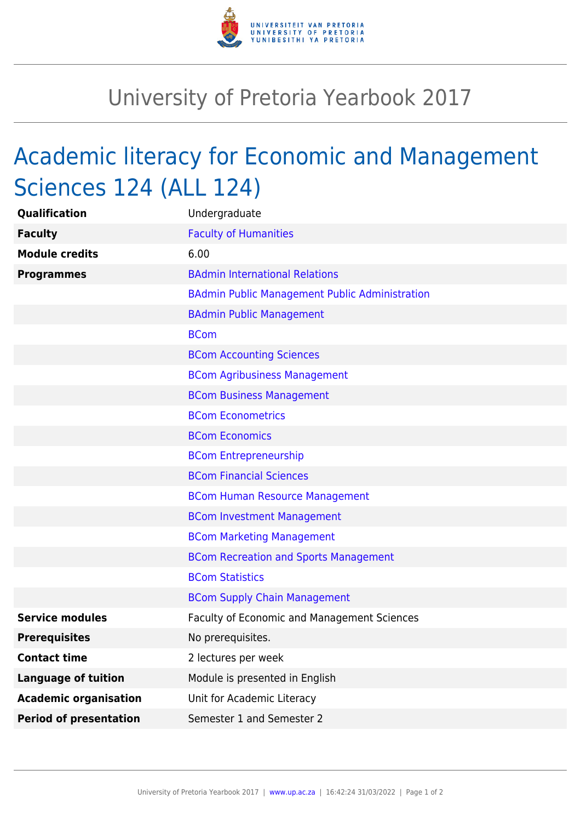

## University of Pretoria Yearbook 2017

## Academic literacy for Economic and Management Sciences 124 (ALL 124)

| Qualification                 | Undergraduate                                         |
|-------------------------------|-------------------------------------------------------|
| <b>Faculty</b>                | <b>Faculty of Humanities</b>                          |
| <b>Module credits</b>         | 6.00                                                  |
| <b>Programmes</b>             | <b>BAdmin International Relations</b>                 |
|                               | <b>BAdmin Public Management Public Administration</b> |
|                               | <b>BAdmin Public Management</b>                       |
|                               | <b>BCom</b>                                           |
|                               | <b>BCom Accounting Sciences</b>                       |
|                               | <b>BCom Agribusiness Management</b>                   |
|                               | <b>BCom Business Management</b>                       |
|                               | <b>BCom Econometrics</b>                              |
|                               | <b>BCom Economics</b>                                 |
|                               | <b>BCom Entrepreneurship</b>                          |
|                               | <b>BCom Financial Sciences</b>                        |
|                               | <b>BCom Human Resource Management</b>                 |
|                               | <b>BCom Investment Management</b>                     |
|                               | <b>BCom Marketing Management</b>                      |
|                               | <b>BCom Recreation and Sports Management</b>          |
|                               | <b>BCom Statistics</b>                                |
|                               | <b>BCom Supply Chain Management</b>                   |
| <b>Service modules</b>        | Faculty of Economic and Management Sciences           |
| <b>Prerequisites</b>          | No prerequisites.                                     |
| <b>Contact time</b>           | 2 lectures per week                                   |
| <b>Language of tuition</b>    | Module is presented in English                        |
| <b>Academic organisation</b>  | Unit for Academic Literacy                            |
| <b>Period of presentation</b> | Semester 1 and Semester 2                             |